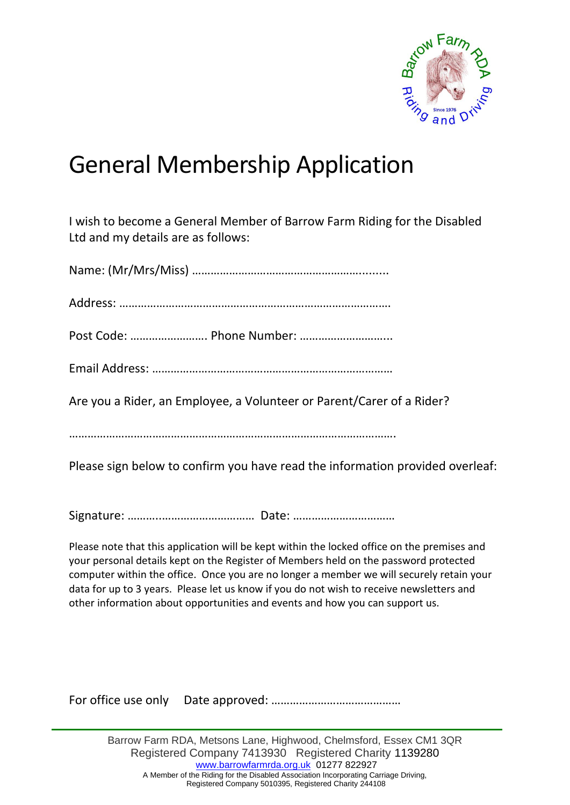

## General Membership Application

I wish to become a General Member of Barrow Farm Riding for the Disabled Ltd and my details are as follows:

Please sign below to confirm you have read the information provided overleaf:

Signature: ………..………………………… Date: ……………………………

Please note that this application will be kept within the locked office on the premises and your personal details kept on the Register of Members held on the password protected computer within the office. Once you are no longer a member we will securely retain your data for up to 3 years. Please let us know if you do not wish to receive newsletters and other information about opportunities and events and how you can support us.

For office use only Date approved: ……………………………………